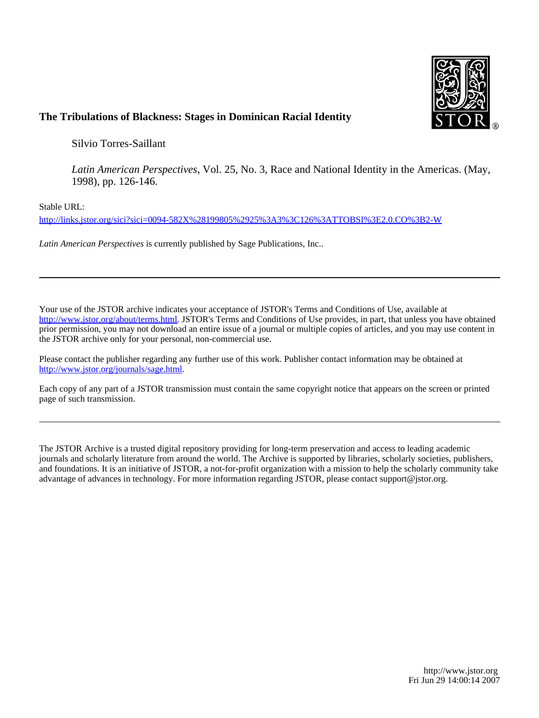

# **The Tribulations of Blackness: Stages in Dominican Racial Identity**

Silvio Torres-Saillant

*Latin American Perspectives*, Vol. 25, No. 3, Race and National Identity in the Americas. (May, 1998), pp. 126-146.

Stable URL:

<http://links.jstor.org/sici?sici=0094-582X%28199805%2925%3A3%3C126%3ATTOBSI%3E2.0.CO%3B2-W>

*Latin American Perspectives* is currently published by Sage Publications, Inc..

Your use of the JSTOR archive indicates your acceptance of JSTOR's Terms and Conditions of Use, available at [http://www.jstor.org/about/terms.html.](http://www.jstor.org/about/terms.html) JSTOR's Terms and Conditions of Use provides, in part, that unless you have obtained prior permission, you may not download an entire issue of a journal or multiple copies of articles, and you may use content in the JSTOR archive only for your personal, non-commercial use.

Please contact the publisher regarding any further use of this work. Publisher contact information may be obtained at <http://www.jstor.org/journals/sage.html>.

Each copy of any part of a JSTOR transmission must contain the same copyright notice that appears on the screen or printed page of such transmission.

The JSTOR Archive is a trusted digital repository providing for long-term preservation and access to leading academic journals and scholarly literature from around the world. The Archive is supported by libraries, scholarly societies, publishers, and foundations. It is an initiative of JSTOR, a not-for-profit organization with a mission to help the scholarly community take advantage of advances in technology. For more information regarding JSTOR, please contact support@jstor.org.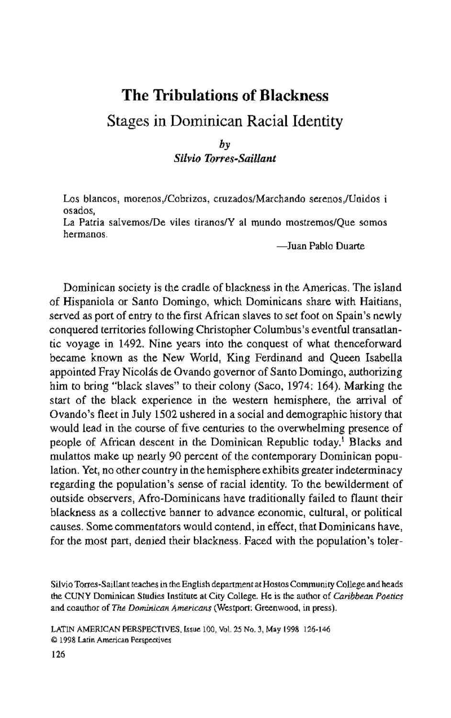# **The Tribulations of Blackness Stages in Dominican Racial Identity**

#### bν

Silvio Torres-Saillant

Los blancos, morenos,/Cobrizos, cruzados/Marchando serenos,/Unidos i osados,

La Patria salvemos/De viles tiranos/Y al mundo mostremos/Oue somos hermanos.

-Juan Pablo Duarte

Dominican society is the cradle of blackness in the Americas. The island of Hispaniola or Santo Domingo, which Dominicans share with Haitians, served as port of entry to the first African slaves to set foot on Spain's newly conquered territories following Christopher Columbus's eventful transatlantic voyage in 1492. Nine years into the conquest of what thenceforward became known as the New World, King Ferdinand and Queen Isabella appointed Fray Nicolás de Ovando governor of Santo Domingo, authorizing him to bring "black slaves" to their colony (Saco, 1974: 164). Marking the start of the black experience in the western hemisphere, the arrival of Ovando's fleet in July 1502 ushered in a social and demographic history that would lead in the course of five centuries to the overwhelming presence of people of African descent in the Dominican Republic today.<sup>1</sup> Blacks and mulattos make up nearly 90 percent of the contemporary Dominican population. Yet, no other country in the hemisphere exhibits greater indeterminacy regarding the population's sense of racial identity. To the bewilderment of outside observers, Afro-Dominicans have traditionally failed to flaunt their blackness as a collective banner to advance economic, cultural, or political causes. Some commentators would contend, in effect, that Dominicans have, for the most part, denied their blackness. Faced with the population's toler-

Silvio Torres-Saillant teaches in the English department at Hostos Community College and heads the CUNY Dominican Studies Institute at City College. He is the author of Caribbean Poetics and coauthor of The Dominican Americans (Westport: Greenwood, in press).

LATIN AMERICAN PERSPECTIVES, Issue 100, Vol. 25 No. 3, May 1998 126-146 © 1998 Latin American Perspectives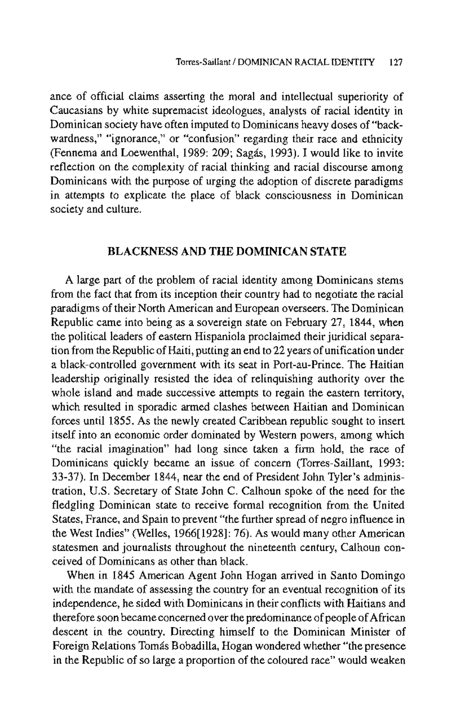ance of official claims asserting the moral and intellectual superiority of Caucasians by white supremacist ideologues, analysts of racial identity in Dominican society have often imputed to Dominicans heavy doses of "backwardness," "ignorance," or "confusion" regarding their race and ethnicity (Fennema and Loewenthal, 1989; 209; Sagás, 1993). I would like to invite reflection on the complexity of racial thinking and racial discourse among Dominicans with the purpose of urging the adoption of discrete paradigms in attempts to explicate the place of black consciousness in Dominican society and culture.

# **BLACKNESS AND THE DOMINICAN STATE**

A large part of the problem of racial identity among Dominicans stems from the fact that from its inception their country had to negotiate the racial paradigms of their North American and European overseers. The Dominican Republic came into being as a sovereign state on February 27, 1844, when the political leaders of eastern Hispaniola proclaimed their juridical separation from the Republic of Haiti, putting an end to 22 years of unification under a black-controlled government with its seat in Port-au-Prince. The Haitian leadership originally resisted the idea of relinquishing authority over the whole island and made successive attempts to regain the eastern territory, which resulted in sporadic armed clashes between Haitian and Dominican forces until 1855. As the newly created Caribbean republic sought to insert itself into an economic order dominated by Western powers, among which "the racial imagination" had long since taken a firm hold, the race of Dominicans quickly became an issue of concern (Torres-Saillant, 1993; 33-37). In December 1844, near the end of President John Tyler's administration, U.S. Secretary of State John C. Calhoun spoke of the need for the fledgling Dominican state to receive formal recognition from the United States, France, and Spain to prevent "the further spread of negro influence in the West Indies" (Welles, 1966[1928]: 76). As would many other American statesmen and journalists throughout the nineteenth century. Calhoun conceived of Dominicans as other than black.

When in 1845 American Agent John Hogan arrived in Santo Domingo with the mandate of assessing the country for an eventual recognition of its independence, he sided with Dominicans in their conflicts with Haitians and therefore soon became concerned over the predominance of people of African descent in the country. Directing himself to the Dominican Minister of Foreign Relations Tomás Bobadilla, Hogan wondered whether "the presence in the Republic of so large a proportion of the coloured race" would weaken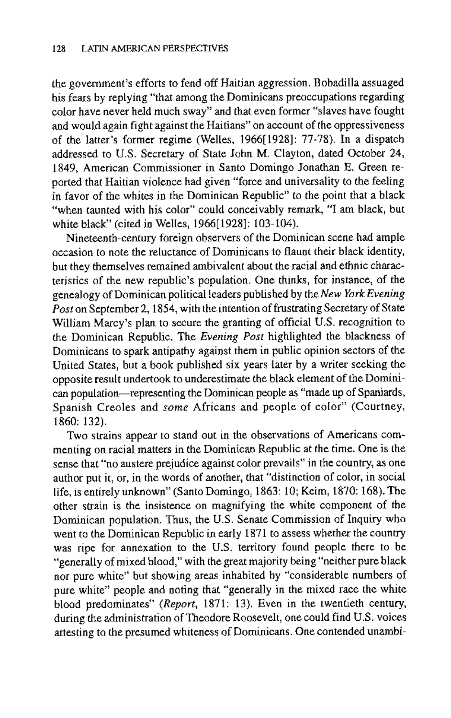the government's efforts to fend off Haitian aggression. Bobadilla assuaged his fears by replying "that among the Dominicans preoccupations regarding color have never held much sway" and that even former "slaves have fought and would again fight against the Haitians" on account of the oppressiveness of the latter's former regime (Welles, 1966[1928]: 77-78). In a dispatch addressed to U.S. Secretary of State John M. Clayton, dated October 24, 1849, American Commissioner in Santo Domingo Jonathan E. Green reported that Haitian violence had given "force and universality to the feeling in favor of the whites in the Dominican Republic" to the point that a black "when taunted with his color" could conceivably remark, "I am black, but white black" (cited in Welles, 1966[1928]: 103-104).

Nineteenth-century foreign observers of the Dominican scene had ample occasion to note the reluctance of Dominicans to flaunt their black identity, but they themselves remained ambivalent about the racial and ethnic characteristics of the new republic's population. One thinks, for instance, of the genealogy of Dominican political leaders published by the New York Evening Post on September 2, 1854, with the intention of frustrating Secretary of State William Marcy's plan to secure the granting of official U.S. recognition to the Dominican Republic. The Evening Post highlighted the blackness of Dominicans to spark antipathy against them in public opinion sectors of the United States, but a book published six years later by a writer seeking the opposite result undertook to underestimate the black element of the Dominican population—representing the Dominican people as "made up of Spaniards, Spanish Creoles and some Africans and people of color" (Courtney, 1860: 132).

Two strains appear to stand out in the observations of Americans commenting on racial matters in the Dominican Republic at the time. One is the sense that "no austere prejudice against color prevails" in the country, as one author put it, or, in the words of another, that "distinction of color, in social life, is entirely unknown" (Santo Domingo, 1863: 10; Keim, 1870: 168). The other strain is the insistence on magnifying the white component of the Dominican population. Thus, the U.S. Senate Commission of Inquiry who went to the Dominican Republic in early 1871 to assess whether the country was ripe for annexation to the U.S. territory found people there to be "generally of mixed blood," with the great majority being "neither pure black nor pure white" but showing areas inhabited by "considerable numbers of pure white" people and noting that "generally in the mixed race the white blood predominates" (Report, 1871: 13). Even in the twentieth century, during the administration of Theodore Roosevelt, one could find U.S. voices attesting to the presumed whiteness of Dominicans. One contended unambi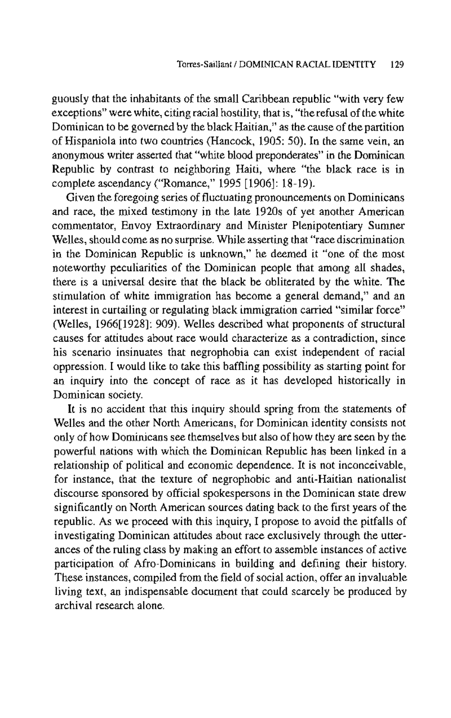guously that the inhabitants of the small Caribbean republic "with very few exceptions" were white, citing racial hostility, that is, "the refusal of the white Dominican to be governed by the black Haitian," as the cause of the partition of Hispaniola into two countries (Hancock, 1905; 50). In the same vein, an anonymous writer asserted that "white blood preponderates" in the Dominican Republic by contrast to neighboring Haiti, where "the black race is in complete ascendancy ("Romance," 1995 [1906]: 18-19).

Given the foregoing series of fluctuating pronouncements on Dominicans and race, the mixed testimony in the late 1920s of yet another American commentator, Envoy Extraordinary and Minister Plenipotentiary Sumner Welles, should come as no surprise. While asserting that "race discrimination in the Dominican Republic is unknown," he deemed it "one of the most noteworthy peculiarities of the Dominican people that among all shades, there is a universal desire that the black be obliterated by the white. The stimulation of white immigration has become a general demand," and an interest in curtailing or regulating black immigration carried "similar force" (Welles, 1966[1928]: 909). Welles described what proponents of structural causes for attitudes about race would characterize as a contradiction, since his scenario insinuates that negrophobia can exist independent of racial oppression. I would like to take this baffling possibility as starting point for an inquiry into the concept of race as it has developed historically in Dominican society.

It is no accident that this inquiry should spring from the statements of Welles and the other North Americans, for Dominican identity consists not only of how Dominicans see themselves but also of how they are seen by the powerful nations with which the Dominican Republic has been linked in a relationship of political and economic dependence. It is not inconceivable, for instance, that the texture of negrophobic and anti-Haitian nationalist discourse sponsored by official spokespersons in the Dominican state drew significantly on North American sources dating back to the first years of the republic. As we proceed with this inquiry, I propose to avoid the pitfalls of investigating Dominican attitudes about race exclusively through the utterances of the ruling class by making an effort to assemble instances of active participation of Afro-Dominicans in building and defining their history. These instances, compiled from the field of social action, offer an invaluable living text, an indispensable document that could scarcely be produced by archival research alone.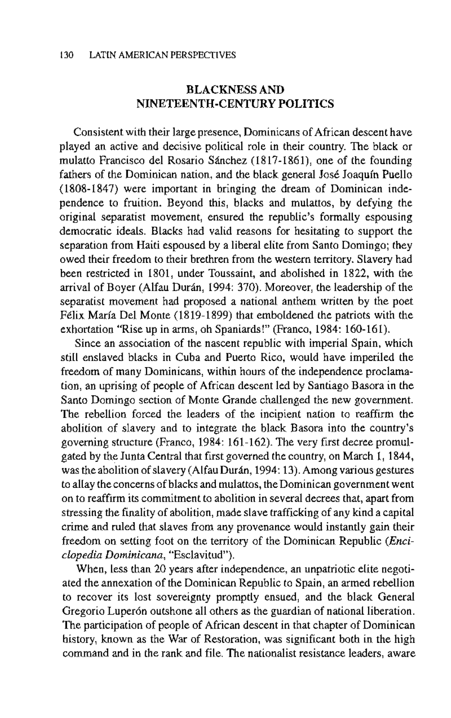# **BLACKNESS AND** NINETEENTH-CENTURY POLITICS

Consistent with their large presence, Dominicans of African descent have played an active and decisive political role in their country. The black or mulatto Francisco del Rosario Sánchez (1817-1861), one of the founding fathers of the Dominican nation, and the black general José Joaquín Puello (1808-1847) were important in bringing the dream of Dominican independence to fruition. Beyond this, blacks and mulattos, by defying the original separatist movement, ensured the republic's formally espousing democratic ideals. Blacks had valid reasons for hesitating to support the separation from Haiti espoused by a liberal elite from Santo Domingo; they owed their freedom to their brethren from the western territory. Slavery had been restricted in 1801, under Toussaint, and abolished in 1822, with the arrival of Boyer (Alfau Durán, 1994: 370). Moreover, the leadership of the separatist movement had proposed a national anthem written by the poet Félix María Del Monte (1819-1899) that emboldened the patriots with the exhortation "Rise up in arms, oh Spaniards!" (Franco, 1984: 160-161).

Since an association of the nascent republic with imperial Spain, which still enslaved blacks in Cuba and Puerto Rico, would have imperiled the freedom of many Dominicans, within hours of the independence proclamation, an uprising of people of African descent led by Santiago Basora in the Santo Domingo section of Monte Grande challenged the new government. The rebellion forced the leaders of the incipient nation to reaffirm the abolition of slavery and to integrate the black Basora into the country's governing structure (Franco, 1984: 161-162). The very first decree promulgated by the Junta Central that first governed the country, on March 1, 1844, was the abolition of slavery (Alfau Durán, 1994: 13). Among various gestures to allay the concerns of blacks and mulattos, the Dominican government went on to reaffirm its commitment to abolition in several decrees that, apart from stressing the finality of abolition, made slave trafficking of any kind a capital crime and ruled that slaves from any provenance would instantly gain their freedom on setting foot on the territory of the Dominican Republic (Enciclopedia Dominicana, "Esclavitud").

When, less than 20 years after independence, an unpatriotic elite negotiated the annexation of the Dominican Republic to Spain, an armed rebellion to recover its lost sovereignty promptly ensued, and the black General Gregorio Luperón outshone all others as the guardian of national liberation. The participation of people of African descent in that chapter of Dominican history, known as the War of Restoration, was significant both in the high command and in the rank and file. The nationalist resistance leaders, aware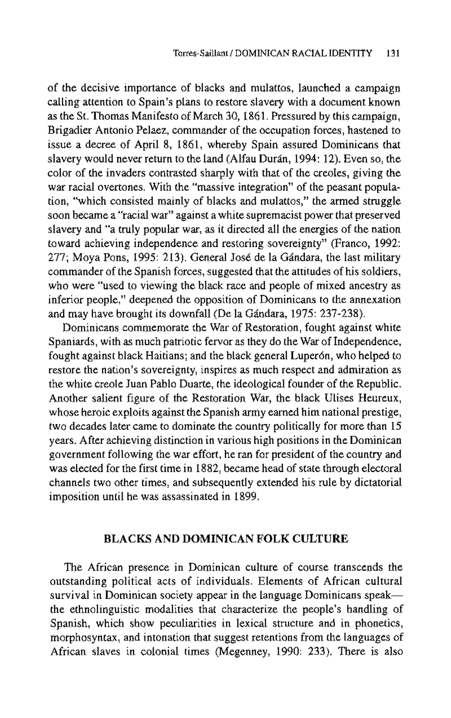of the decisive importance of blacks and mulattos, launched a campaign calling attention to Spain's plans to restore slavery with a document known as the St. Thomas Manifesto of March 30, 1861. Pressured by this campaign, Brigadier Antonio Pelaez, commander of the occupation forces, hastened to issue a decree of April 8, 1861, whereby Spain assured Dominicans that slavery would never return to the land (Alfau Durán, 1994: 12). Even so, the color of the invaders contrasted sharply with that of the creoles, giving the war racial overtones. With the "massive integration" of the peasant population, "which consisted mainly of blacks and mulattos," the armed struggle soon became a "racial war" against a white supremacist power that preserved slavery and "a truly popular war, as it directed all the energies of the nation toward achieving independence and restoring sovereignty" (Franco, 1992: 277; Moya Pons, 1995: 213). General José de la Gándara, the last military commander of the Spanish forces, suggested that the attitudes of his soldiers, who were "used to viewing the black race and people of mixed ancestry as inferior people," deepened the opposition of Dominicans to the annexation and may have brought its downfall (De la Gándara, 1975: 237-238).

Dominicans commemorate the War of Restoration, fought against white Spaniards, with as much patriotic fervor as they do the War of Independence, fought against black Haitians; and the black general Luperón, who helped to restore the nation's sovereignty, inspires as much respect and admiration as the white creole Juan Pablo Duarte, the ideological founder of the Republic. Another salient figure of the Restoration War, the black Ulises Heureux, whose heroic exploits against the Spanish army earned him national prestige, two decades later came to dominate the country politically for more than 15 years. After achieving distinction in various high positions in the Dominican government following the war effort, he ran for president of the country and was elected for the first time in 1882, became head of state through electoral channels two other times, and subsequently extended his rule by dictatorial imposition until he was assassinated in 1899.

# **BLACKS AND DOMINICAN FOLK CULTURE**

The African presence in Dominican culture of course transcends the outstanding political acts of individuals. Elements of African cultural survival in Dominican society appear in the language Dominicans speakthe ethnolinguistic modalities that characterize the people's handling of Spanish, which show peculiarities in lexical structure and in phonetics, morphosyntax, and intonation that suggest retentions from the languages of African slaves in colonial times (Megenney, 1990: 233). There is also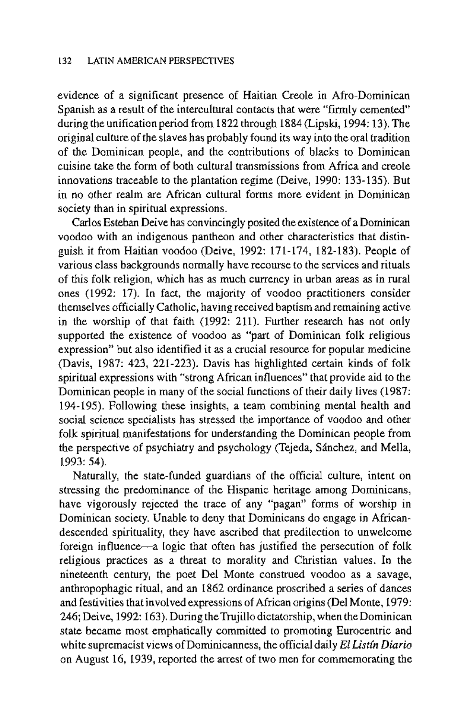#### 132 LATIN AMERICAN PERSPECTIVES

evidence of a significant presence of Haitian Creole in Afro-Dominican Spanish as a result of the intercultural contacts that were "firmly cemented" during the unification period from 1822 through 1884 (Lipski, 1994: 13). The original culture of the slaves has probably found its way into the oral tradition of the Dominican people, and the contributions of blacks to Dominican cuisine take the form of both cultural transmissions from Africa and creole innovations traceable to the plantation regime (Deive, 1990: 133-135). But in no other realm are African cultural forms more evident in Dominican society than in spiritual expressions.

Carlos Esteban Deive has convincingly posited the existence of a Dominican voodoo with an indigenous pantheon and other characteristics that distinguish it from Haitian voodoo (Deive, 1992: 171-174, 182-183). People of various class backgrounds normally have recourse to the services and rituals of this folk religion, which has as much currency in urban areas as in rural ones (1992: 17). In fact, the majority of voodoo practitioners consider themselves officially Catholic, having received baptism and remaining active in the worship of that faith (1992: 211). Further research has not only supported the existence of voodoo as "part of Dominican folk religious expression" but also identified it as a crucial resource for popular medicine (Davis, 1987: 423, 221-223). Davis has highlighted certain kinds of folk spiritual expressions with "strong African influences" that provide aid to the Dominican people in many of the social functions of their daily lives (1987: 194-195). Following these insights, a team combining mental health and social science specialists has stressed the importance of voodoo and other folk spiritual manifestations for understanding the Dominican people from the perspective of psychiatry and psychology (Tejeda, Sánchez, and Mella, 1993: 54).

Naturally, the state-funded guardians of the official culture, intent on stressing the predominance of the Hispanic heritage among Dominicans, have vigorously rejected the trace of any "pagan" forms of worship in Dominican society. Unable to deny that Dominicans do engage in Africandescended spirituality, they have ascribed that predilection to unwelcome foreign influence—a logic that often has justified the persecution of folk religious practices as a threat to morality and Christian values. In the nineteenth century, the poet Del Monte construed voodoo as a savage, anthropophagic ritual, and an 1862 ordinance proscribed a series of dances and festivities that involved expressions of African origins (Del Monte, 1979: 246; Deive, 1992: 163). During the Trujillo dictatorship, when the Dominican state became most emphatically committed to promoting Eurocentric and white supremacist views of Dominicanness, the official daily El Listín Diario on August 16, 1939, reported the arrest of two men for commemorating the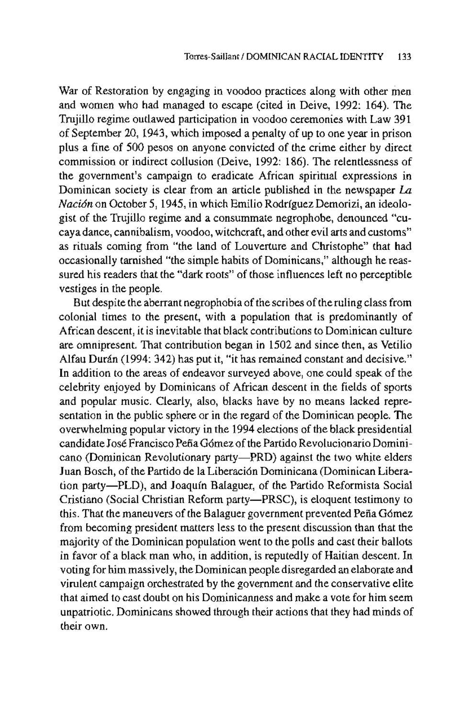War of Restoration by engaging in voodoo practices along with other men and women who had managed to escape (cited in Deive, 1992: 164). The Trujillo regime outlawed participation in voodoo ceremonies with Law 391 of September 20, 1943, which imposed a penalty of up to one year in prison plus a fine of 500 pesos on anyone convicted of the crime either by direct commission or indirect collusion (Deive, 1992: 186). The relentlessness of the government's campaign to eradicate African spiritual expressions in Dominican society is clear from an article published in the newspaper  $La$ Nación on October 5, 1945, in which Emilio Rodríguez Demorizi, an ideologist of the Trujillo regime and a consummate negrophobe, denounced "cucaya dance, cannibalism, voodoo, witchcraft, and other evil arts and customs" as rituals coming from "the land of Louverture and Christophe" that had occasionally tarnished "the simple habits of Dominicans," although he reassured his readers that the "dark roots" of those influences left no perceptible vestiges in the people.

But despite the aberrant negrophobia of the scribes of the ruling class from colonial times to the present, with a population that is predominantly of African descent, it is inevitable that black contributions to Dominican culture are omnipresent. That contribution began in 1502 and since then, as Vetilio Alfau Durán (1994: 342) has put it, "it has remained constant and decisive." In addition to the areas of endeavor surveyed above, one could speak of the celebrity enjoyed by Dominicans of African descent in the fields of sports and popular music. Clearly, also, blacks have by no means lacked representation in the public sphere or in the regard of the Dominican people. The overwhelming popular victory in the 1994 elections of the black presidential candidate José Francisco Peña Gómez of the Partido Revolucionario Dominicano (Dominican Revolutionary party-PRD) against the two white elders Juan Bosch, of the Partido de la Liberación Dominicana (Dominican Liberation party-PLD), and Joaquín Balaguer, of the Partido Reformista Social Cristiano (Social Christian Reform party-PRSC), is eloquent testimony to this. That the maneuvers of the Balaguer government prevented Peña Gómez from becoming president matters less to the present discussion than that the majority of the Dominican population went to the polls and cast their ballots in favor of a black man who, in addition, is reputedly of Haitian descent. In voting for him massively, the Dominican people disregarded an elaborate and virulent campaign orchestrated by the government and the conservative elite that aimed to cast doubt on his Dominicanness and make a vote for him seem unpatriotic. Dominicans showed through their actions that they had minds of their own.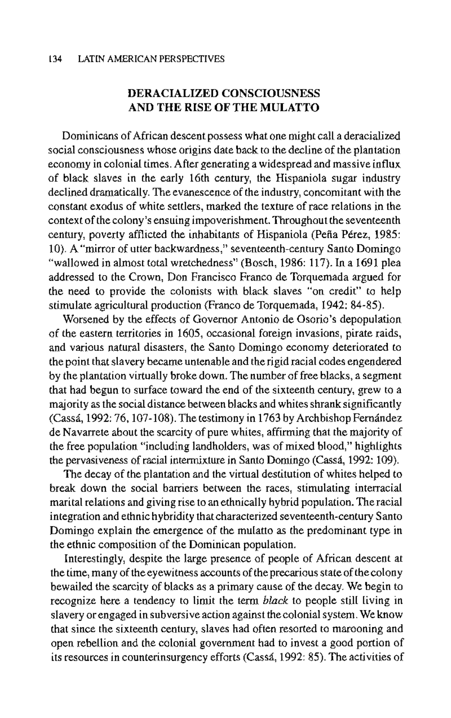# **DERACIALIZED CONSCIOUSNESS** AND THE RISE OF THE MULATTO

Dominicans of African descent possess what one might call a deracialized social consciousness whose origins date back to the decline of the plantation economy in colonial times. After generating a widespread and massive influx of black slaves in the early 16th century, the Hispaniola sugar industry declined dramatically. The evanescence of the industry, concomitant with the constant exodus of white settlers, marked the texture of race relations in the context of the colony's ensuing impoverishment. Throughout the seventeenth century, poverty afflicted the inhabitants of Hispaniola (Peña Pérez, 1985: 10). A "mirror of utter backwardness," seventeenth-century Santo Domingo "wallowed in almost total wretchedness" (Bosch, 1986: 117). In a 1691 plea addressed to the Crown, Don Francisco Franco de Torquemada argued for the need to provide the colonists with black slaves "on credit" to help stimulate agricultural production (Franco de Torquemada, 1942; 84-85).

Worsened by the effects of Governor Antonio de Osorio's depopulation of the eastern territories in 1605, occasional foreign invasions, pirate raids, and various natural disasters, the Santo Domingo economy deteriorated to the point that slavery became untenable and the rigid racial codes engendered by the plantation virtually broke down. The number of free blacks, a segment that had begun to surface toward the end of the sixteenth century, grew to a majority as the social distance between blacks and whites shrank significantly (Cassá, 1992: 76, 107-108). The testimony in 1763 by Archbishop Fernández de Navarrete about the scarcity of pure whites, affirming that the majority of the free population "including landholders, was of mixed blood," highlights the pervasiveness of racial intermixture in Santo Domingo (Cassá, 1992: 109).

The decay of the plantation and the virtual destitution of whites helped to break down the social barriers between the races, stimulating interracial marital relations and giving rise to an ethnically hybrid population. The racial integration and ethnic hybridity that characterized seventeenth-century Santo Domingo explain the emergence of the mulatto as the predominant type in the ethnic composition of the Dominican population.

Interestingly, despite the large presence of people of African descent at the time, many of the eyewitness accounts of the precarious state of the colony bewailed the scarcity of blacks as a primary cause of the decay. We begin to recognize here a tendency to limit the term *black* to people still living in slavery or engaged in subversive action against the colonial system. We know that since the sixteenth century, slaves had often resorted to marooning and open rebellion and the colonial government had to invest a good portion of its resources in counterinsurgency efforts (Cassá, 1992: 85). The activities of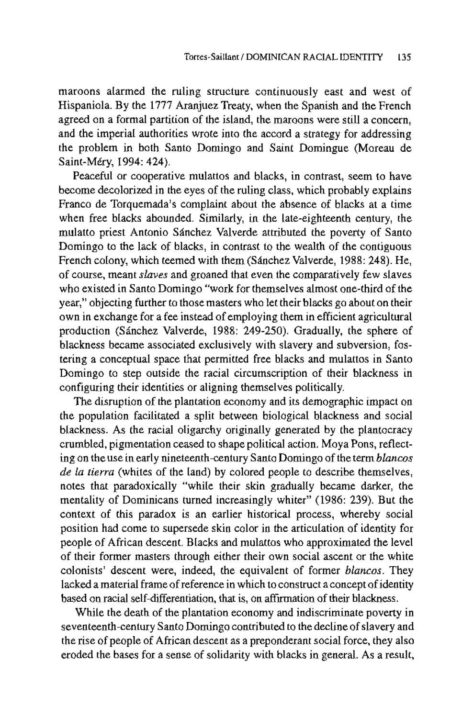maroons alarmed the ruling structure continuously east and west of Hispaniola. By the 1777 Aranjuez Treaty, when the Spanish and the French agreed on a formal partition of the island, the maroons were still a concern, and the imperial authorities wrote into the accord a strategy for addressing the problem in both Santo Domingo and Saint Domingue (Moreau de Saint-Méry, 1994: 424).

Peaceful or cooperative mulattos and blacks, in contrast, seem to have become decolorized in the eyes of the ruling class, which probably explains Franco de Torquemada's complaint about the absence of blacks at a time when free blacks abounded. Similarly, in the late-eighteenth century, the mulatto priest Antonio Sánchez Valverde attributed the poverty of Santo Domingo to the lack of blacks, in contrast to the wealth of the contiguous French colony, which teemed with them (Sánchez Valverde, 1988: 248). He, of course, meant *slaves* and groaned that even the comparatively few slaves who existed in Santo Domingo "work for themselves almost one-third of the year," objecting further to those masters who let their blacks go about on their own in exchange for a fee instead of employing them in efficient agricultural production (Sánchez Valverde, 1988: 249-250). Gradually, the sphere of blackness became associated exclusively with slavery and subversion, fostering a conceptual space that permitted free blacks and mulattos in Santo Domingo to step outside the racial circumscription of their blackness in configuring their identities or aligning themselves politically.

The disruption of the plantation economy and its demographic impact on the population facilitated a split between biological blackness and social blackness. As the racial oligarchy originally generated by the plantocracy crumbled, pigmentation ceased to shape political action. Moya Pons, reflecting on the use in early nineteenth-century Santo Domingo of the term blancos de la tierra (whites of the land) by colored people to describe themselves, notes that paradoxically "while their skin gradually became darker, the mentality of Dominicans turned increasingly whiter" (1986: 239). But the context of this paradox is an earlier historical process, whereby social position had come to supersede skin color in the articulation of identity for people of African descent. Blacks and mulattos who approximated the level of their former masters through either their own social ascent or the white colonists' descent were, indeed, the equivalent of former blancos. They lacked a material frame of reference in which to construct a concept of identity based on racial self-differentiation, that is, on affirmation of their blackness.

While the death of the plantation economy and indiscriminate poverty in seventeenth-century Santo Domingo contributed to the decline of slavery and the rise of people of African descent as a preponderant social force, they also eroded the bases for a sense of solidarity with blacks in general. As a result,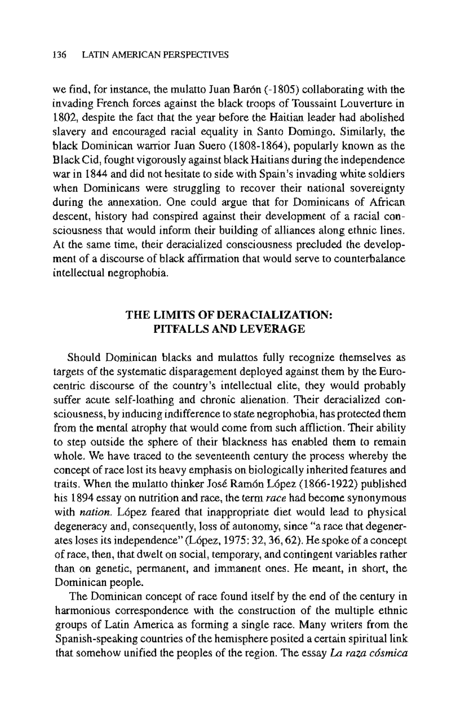we find, for instance, the mulatto Juan Barón (-1805) collaborating with the invading French forces against the black troops of Toussaint Louverture in 1802, despite the fact that the year before the Haitian leader had abolished slavery and encouraged racial equality in Santo Domingo. Similarly, the black Dominican warrior Juan Suero (1808-1864), popularly known as the Black Cid, fought vigorously against black Haitians during the independence war in 1844 and did not hesitate to side with Spain's invading white soldiers when Dominicans were struggling to recover their national sovereignty during the annexation. One could argue that for Dominicans of African descent, history had conspired against their development of a racial consciousness that would inform their building of alliances along ethnic lines. At the same time, their deracialized consciousness precluded the development of a discourse of black affirmation that would serve to counterbalance intellectual negrophobia.

# THE LIMITS OF DERACIALIZATION: PITFALLS AND LEVERAGE

Should Dominican blacks and mulattos fully recognize themselves as targets of the systematic disparagement deployed against them by the Eurocentric discourse of the country's intellectual elite, they would probably suffer acute self-loathing and chronic alienation. Their deracialized consciousness, by inducing indifference to state negrophobia, has protected them from the mental atrophy that would come from such affliction. Their ability to step outside the sphere of their blackness has enabled them to remain whole. We have traced to the seventeenth century the process whereby the concept of race lost its heavy emphasis on biologically inherited features and traits. When the mulatto thinker José Ramón López (1866-1922) published his 1894 essay on nutrition and race, the term race had become synonymous with nation. López feared that inappropriate diet would lead to physical degeneracy and, consequently, loss of autonomy, since "a race that degenerates loses its independence" (López, 1975: 32, 36, 62). He spoke of a concept of race, then, that dwelt on social, temporary, and contingent variables rather than on genetic, permanent, and immanent ones. He meant, in short, the Dominican people.

The Dominican concept of race found itself by the end of the century in harmonious correspondence with the construction of the multiple ethnic groups of Latin America as forming a single race. Many writers from the Spanish-speaking countries of the hemisphere posited a certain spiritual link that somehow unified the peoples of the region. The essay La raza cósmica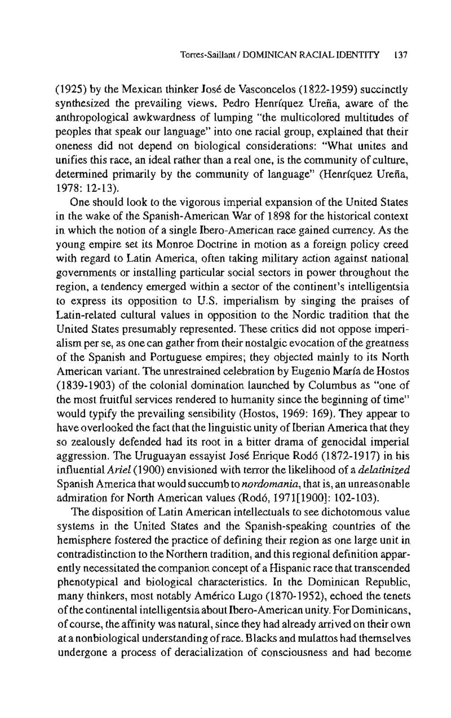(1925) by the Mexican thinker José de Vasconcelos (1822-1959) succinctly synthesized the prevailing views. Pedro Henríquez Ureña, aware of the anthropological awkwardness of lumping "the multicolored multitudes of peoples that speak our language" into one racial group, explained that their oneness did not depend on biological considerations: "What unites and unifies this race, an ideal rather than a real one, is the community of culture, determined primarily by the community of language" (Henríquez Ureña, 1978: 12-13).

One should look to the vigorous imperial expansion of the United States in the wake of the Spanish-American War of 1898 for the historical context in which the notion of a single Ibero-American race gained currency. As the young empire set its Monroe Doctrine in motion as a foreign policy creed with regard to Latin America, often taking military action against national governments or installing particular social sectors in power throughout the region, a tendency emerged within a sector of the continent's intelligentsia to express its opposition to U.S. imperialism by singing the praises of Latin-related cultural values in opposition to the Nordic tradition that the United States presumably represented. These critics did not oppose imperialism per se, as one can gather from their nostalgic evocation of the greatness of the Spanish and Portuguese empires; they objected mainly to its North American variant. The unrestrained celebration by Eugenio María de Hostos (1839-1903) of the colonial domination launched by Columbus as "one of the most fruitful services rendered to humanity since the beginning of time" would typify the prevailing sensibility (Hostos, 1969: 169). They appear to have overlooked the fact that the linguistic unity of Iberian America that they so zealously defended had its root in a bitter drama of genocidal imperial aggression. The Uruguayan essayist José Enrique Rodó  $(1872-1917)$  in his influential Ariel (1900) envisioned with terror the likelihood of a delatinized Spanish America that would succumb to *nordomania*, that is, an unreasonable admiration for North American values (Rodó, 1971[1900]: 102-103).

The disposition of Latin American intellectuals to see dichotomous value systems in the United States and the Spanish-speaking countries of the hemisphere fostered the practice of defining their region as one large unit in contradistinction to the Northern tradition, and this regional definition apparently necessitated the companion concept of a Hispanic race that transcended phenotypical and biological characteristics. In the Dominican Republic, many thinkers, most notably Américo Lugo (1870-1952), echoed the tenets of the continental intelligentsia about Ibero-American unity. For Dominicans, of course, the affinity was natural, since they had already arrived on their own at a nonbiological understanding of race. Blacks and mulattos had themselves undergone a process of deracialization of consciousness and had become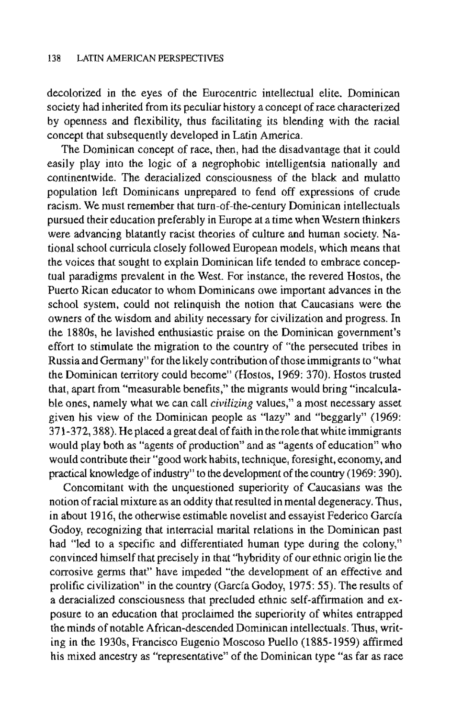decolorized in the eyes of the Eurocentric intellectual elite. Dominican society had inherited from its peculiar history a concept of race characterized by openness and flexibility, thus facilitating its blending with the racial concept that subsequently developed in Latin America.

The Dominican concept of race, then, had the disadvantage that it could easily play into the logic of a negrophobic intelligentsia nationally and continentwide. The deracialized consciousness of the black and mulatto population left Dominicans unprepared to fend off expressions of crude racism. We must remember that turn-of-the-century Dominican intellectuals pursued their education preferably in Europe at a time when Western thinkers were advancing blatantly racist theories of culture and human society. National school curricula closely followed European models, which means that the voices that sought to explain Dominican life tended to embrace conceptual paradigms prevalent in the West. For instance, the revered Hostos, the Puerto Rican educator to whom Dominicans owe important advances in the school system, could not relinquish the notion that Caucasians were the owners of the wisdom and ability necessary for civilization and progress. In the 1880s, he lavished enthusiastic praise on the Dominican government's effort to stimulate the migration to the country of "the persecuted tribes in Russia and Germany" for the likely contribution of those immigrants to "what the Dominican territory could become" (Hostos, 1969: 370). Hostos trusted that, apart from "measurable benefits," the migrants would bring "incalculable ones, namely what we can call *civilizing* values," a most necessary asset given his view of the Dominican people as "lazy" and "beggarly" (1969: 371-372, 388). He placed a great deal of faith in the role that white immigrants would play both as "agents of production" and as "agents of education" who would contribute their "good work habits, technique, foresight, economy, and practical knowledge of industry" to the development of the country (1969: 390).

Concomitant with the unquestioned superiority of Caucasians was the notion of racial mixture as an oddity that resulted in mental degeneracy. Thus, in about 1916, the otherwise estimable novelist and essayist Federico García Godoy, recognizing that interracial marital relations in the Dominican past had "led to a specific and differentiated human type during the colony," convinced himself that precisely in that "hybridity of our ethnic origin lie the corrosive germs that" have impeded "the development of an effective and prolific civilization" in the country (García Godoy, 1975: 55). The results of a deracialized consciousness that precluded ethnic self-affirmation and exposure to an education that proclaimed the superiority of whites entrapped the minds of notable African-descended Dominican intellectuals. Thus, writing in the 1930s, Francisco Eugenio Moscoso Puello (1885-1959) affirmed his mixed ancestry as "representative" of the Dominican type "as far as race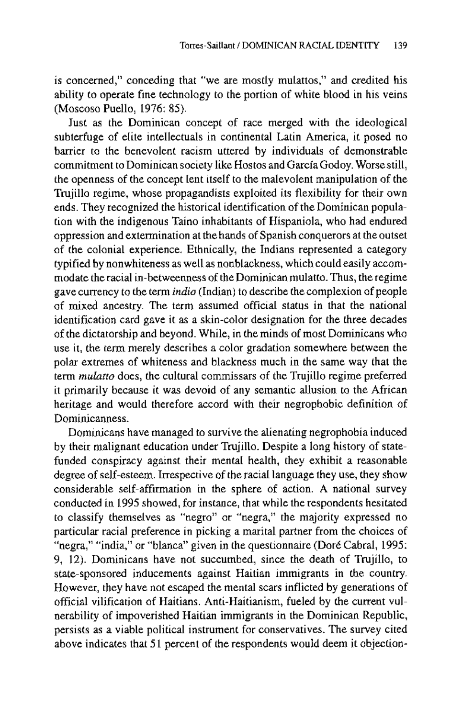is concerned," conceding that "we are mostly mulattos," and credited his ability to operate fine technology to the portion of white blood in his veins (Moscoso Puello, 1976; 85).

Just as the Dominican concept of race merged with the ideological subterfuge of elite intellectuals in continental Latin America, it posed no barrier to the benevolent racism uttered by individuals of demonstrable commitment to Dominican society like Hostos and García Godoy. Worse still, the openness of the concept lent itself to the malevolent manipulation of the Trujillo regime, whose propagandists exploited its flexibility for their own ends. They recognized the historical identification of the Dominican population with the indigenous Taino inhabitants of Hispaniola, who had endured oppression and extermination at the hands of Spanish conquerors at the outset of the colonial experience. Ethnically, the Indians represented a category typified by nonwhiteness as well as nonblackness, which could easily accommodate the racial in-betweenness of the Dominican mulatto. Thus, the regime gave currency to the term *indio* (Indian) to describe the complexion of people of mixed ancestry. The term assumed official status in that the national identification card gave it as a skin-color designation for the three decades of the dictatorship and beyond. While, in the minds of most Dominicans who use it, the term merely describes a color gradation somewhere between the polar extremes of whiteness and blackness much in the same way that the term *mulatto* does, the cultural commissars of the Trujillo regime preferred it primarily because it was devoid of any semantic allusion to the African heritage and would therefore accord with their negrophobic definition of Dominicanness.

Dominicans have managed to survive the alienating negrophobia induced by their malignant education under Trujillo. Despite a long history of statefunded conspiracy against their mental health, they exhibit a reasonable degree of self-esteem. Irrespective of the racial language they use, they show considerable self-affirmation in the sphere of action. A national survey conducted in 1995 showed, for instance, that while the respondents hesitated to classify themselves as "negro" or "negra," the majority expressed no particular racial preference in picking a marital partner from the choices of .<br>"negra," "india," or "blanca" given in the questionnaire (Doré Cabral, 1995: 9, 12). Dominicans have not succumbed, since the death of Trujillo, to state-sponsored inducements against Haitian immigrants in the country. However, they have not escaped the mental scars inflicted by generations of official vilification of Haitians. Anti-Haitianism, fueled by the current vulnerability of impoverished Haitian immigrants in the Dominican Republic, persists as a viable political instrument for conservatives. The survey cited above indicates that 51 percent of the respondents would deem it objection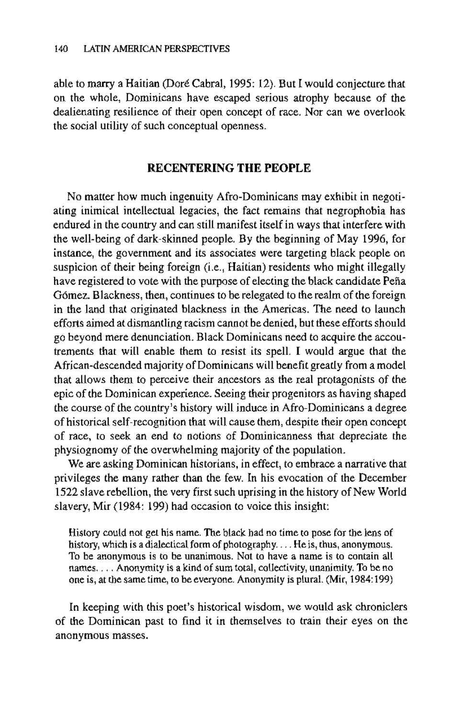able to marry a Haitian (Doré Cabral, 1995: 12). But I would conjecture that on the whole, Dominicans have escaped serious atrophy because of the dealienating resilience of their open concept of race. Nor can we overlook the social utility of such conceptual openness.

# **RECENTERING THE PEOPLE**

No matter how much ingenuity Afro-Dominicans may exhibit in negotiating inimical intellectual legacies, the fact remains that negrophobia has endured in the country and can still manifest itself in ways that interfere with the well-being of dark-skinned people. By the beginning of May 1996, for instance, the government and its associates were targeting black people on suspicion of their being foreign (i.e., Haitian) residents who might illegally have registered to vote with the purpose of electing the black candidate Peña Gómez. Blackness, then, continues to be relegated to the realm of the foreign in the land that originated blackness in the Americas. The need to launch efforts aimed at dismantling racism cannot be denied, but these efforts should go beyond mere denunciation. Black Dominicans need to acquire the accoutrements that will enable them to resist its spell. I would argue that the African-descended majority of Dominicans will benefit greatly from a model that allows them to perceive their ancestors as the real protagonists of the epic of the Dominican experience. Seeing their progenitors as having shaped the course of the country's history will induce in Afro-Dominicans a degree of historical self-recognition that will cause them, despite their open concept of race, to seek an end to notions of Dominicanness that depreciate the physiognomy of the overwhelming majority of the population.

We are asking Dominican historians, in effect, to embrace a narrative that privileges the many rather than the few. In his evocation of the December 1522 slave rebellion, the very first such uprising in the history of New World slavery, Mir (1984: 199) had occasion to voice this insight:

History could not get his name. The black had no time to pose for the lens of history, which is a dialectical form of photography. . . . He is, thus, anonymous. To be anonymous is to be unanimous. Not to have a name is to contain all names. ... Anonymity is a kind of sum total, collectivity, unanimity. To be no one is, at the same time, to be everyone. Anonymity is plural. (Mir, 1984:199)

In keeping with this poet's historical wisdom, we would ask chroniclers of the Dominican past to find it in themselves to train their eyes on the anonymous masses.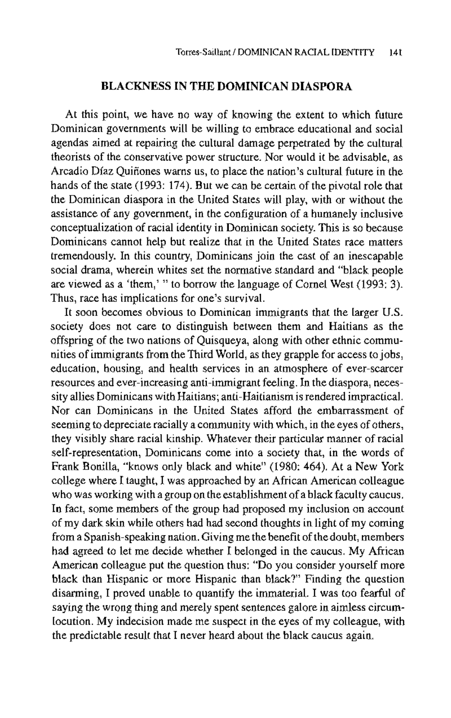# **BLACKNESS IN THE DOMINICAN DIASPORA**

At this point, we have no way of knowing the extent to which future Dominican governments will be willing to embrace educational and social agendas aimed at repairing the cultural damage perpetrated by the cultural theorists of the conservative power structure. Nor would it be advisable, as Arcadio Díaz Quiñones warns us, to place the nation's cultural future in the hands of the state (1993: 174). But we can be certain of the pivotal role that the Dominican diaspora in the United States will play, with or without the assistance of any government, in the configuration of a humanely inclusive conceptualization of racial identity in Dominican society. This is so because Dominicans cannot help but realize that in the United States race matters tremendously. In this country, Dominicans join the cast of an inescapable social drama, wherein whites set the normative standard and "black people are viewed as a 'them,' " to borrow the language of Cornel West  $(1993; 3)$ . Thus, race has implications for one's survival.

It soon becomes obvious to Dominican immigrants that the larger U.S. society does not care to distinguish between them and Haitians as the offspring of the two nations of Quisqueya, along with other ethnic communities of immigrants from the Third World, as they grapple for access to jobs, education, housing, and health services in an atmosphere of ever-scarcer resources and ever-increasing anti-immigrant feeling. In the diaspora, necessity allies Dominicans with Haitians; anti-Haitianism is rendered impractical. Nor can Dominicans in the United States afford the embarrassment of seeming to depreciate racially a community with which, in the eyes of others, they visibly share racial kinship. Whatever their particular manner of racial self-representation, Dominicans come into a society that, in the words of Frank Bonilla, "knows only black and white" (1980: 464). At a New York college where I taught, I was approached by an African American colleague who was working with a group on the establishment of a black faculty caucus. In fact, some members of the group had proposed my inclusion on account of my dark skin while others had had second thoughts in light of my coming from a Spanish-speaking nation. Giving me the benefit of the doubt, members had agreed to let me decide whether I belonged in the caucus. My African American colleague put the question thus: "Do you consider yourself more black than Hispanic or more Hispanic than black?" Finding the question disarming, I proved unable to quantify the immaterial. I was too fearful of saying the wrong thing and merely spent sentences galore in aimless circumlocution. My indecision made me suspect in the eyes of my colleague, with the predictable result that I never heard about the black caucus again.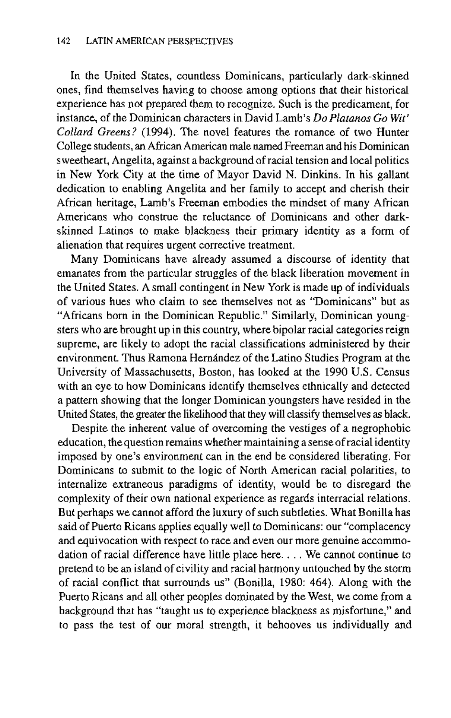In the United States, countless Dominicans, particularly dark-skinned ones, find themselves having to choose among options that their historical experience has not prepared them to recognize. Such is the predicament, for instance, of the Dominican characters in David Lamb's Do Platanos Go Wit' Collard Greens? (1994). The novel features the romance of two Hunter College students, an African American male named Freeman and his Dominican sweetheart, Angelita, against a background of racial tension and local politics in New York City at the time of Mayor David N. Dinkins. In his gallant dedication to enabling Angelita and her family to accept and cherish their African heritage, Lamb's Freeman embodies the mindset of many African Americans who construe the reluctance of Dominicans and other darkskinned Latinos to make blackness their primary identity as a form of alienation that requires urgent corrective treatment.

Many Dominicans have already assumed a discourse of identity that emanates from the particular struggles of the black liberation movement in the United States. A small contingent in New York is made up of individuals of various hues who claim to see themselves not as "Dominicans" but as "Africans born in the Dominican Republic." Similarly, Dominican youngsters who are brought up in this country, where bipolar racial categories reign supreme, are likely to adopt the racial classifications administered by their environment. Thus Ramona Hernández of the Latino Studies Program at the University of Massachusetts, Boston, has looked at the 1990 U.S. Census with an eye to how Dominicans identify themselves ethnically and detected a pattern showing that the longer Dominican youngsters have resided in the United States, the greater the likelihood that they will classify themselves as black.

Despite the inherent value of overcoming the vestiges of a negrophobic education, the question remains whether maintaining a sense of racial identity imposed by one's environment can in the end be considered liberating. For Dominicans to submit to the logic of North American racial polarities, to internalize extraneous paradigms of identity, would be to disregard the complexity of their own national experience as regards interracial relations. But perhaps we cannot afford the luxury of such subtleties. What Bonilla has said of Puerto Ricans applies equally well to Dominicans: our "complacency and equivocation with respect to race and even our more genuine accommodation of racial difference have little place here... We cannot continue to pretend to be an island of civility and racial harmony untouched by the storm of racial conflict that surrounds us" (Bonilla, 1980: 464). Along with the Puerto Ricans and all other peoples dominated by the West, we come from a background that has "taught us to experience blackness as misfortune," and to pass the test of our moral strength, it behooves us individually and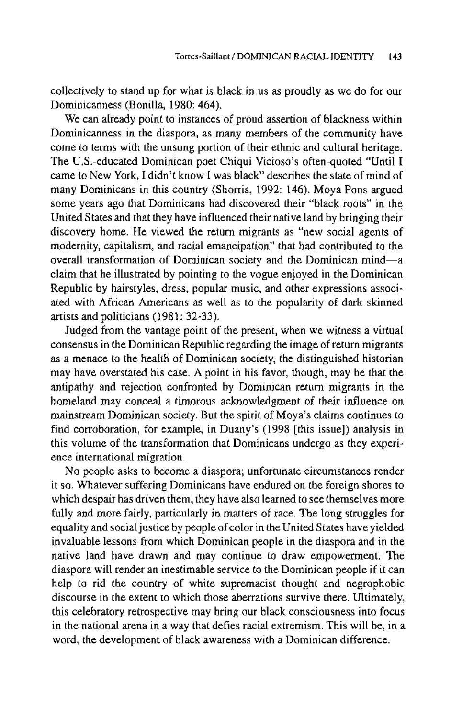collectively to stand up for what is black in us as proudly as we do for our Dominicanness (Bonilla, 1980: 464).

We can already point to instances of proud assertion of blackness within Dominicanness in the diaspora, as many members of the community have come to terms with the unsung portion of their ethnic and cultural heritage. The U.S.-educated Dominican poet Chiqui Vicioso's often-quoted "Until I came to New York, I didn't know I was black" describes the state of mind of many Dominicans in this country (Shorris, 1992: 146). Moya Pons argued some years ago that Dominicans had discovered their "black roots" in the United States and that they have influenced their native land by bringing their discovery home. He viewed the return migrants as "new social agents of modernity, capitalism, and racial emancipation" that had contributed to the overall transformation of Dominican society and the Dominican mind-a claim that he illustrated by pointing to the vogue enjoyed in the Dominican Republic by hairstyles, dress, popular music, and other expressions associated with African Americans as well as to the popularity of dark-skinned artists and politicians (1981: 32-33).

Judged from the vantage point of the present, when we witness a virtual consensus in the Dominican Republic regarding the image of return migrants as a menace to the health of Dominican society, the distinguished historian may have overstated his case. A point in his favor, though, may be that the antipathy and rejection confronted by Dominican return migrants in the homeland may conceal a timorous acknowledgment of their influence on mainstream Dominican society. But the spirit of Moya's claims continues to find corroboration, for example, in Duany's (1998 [this issue]) analysis in this volume of the transformation that Dominicans undergo as they experience international migration.

No people asks to become a diaspora; unfortunate circumstances render it so. Whatever suffering Dominicans have endured on the foreign shores to which despair has driven them, they have also learned to see themselves more fully and more fairly, particularly in matters of race. The long struggles for equality and social justice by people of color in the United States have yielded invaluable lessons from which Dominican people in the diaspora and in the native land have drawn and may continue to draw empowerment. The diaspora will render an inestimable service to the Dominican people if it can help to rid the country of white supremacist thought and negrophobic discourse in the extent to which those aberrations survive there. Ultimately, this celebratory retrospective may bring our black consciousness into focus in the national arena in a way that defies racial extremism. This will be, in a word, the development of black awareness with a Dominican difference.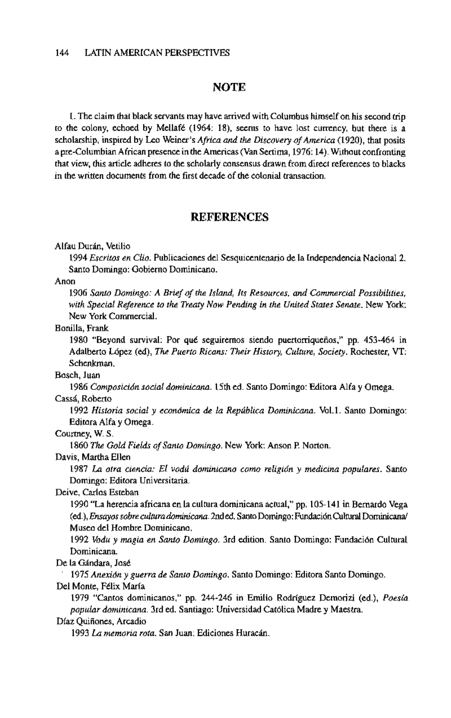## **NOTE**

1. The claim that black servants may have arrived with Columbus himself on his second trip to the colony, echoed by Mellafé (1964: 18), seems to have lost currency, but there is a scholarship, inspired by Leo Weiner's Africa and the Discovery of America (1920), that posits a pre-Columbian African presence in the Americas (Van Sectima, 1976; 14). Without confronting that view, this article adheres to the scholarly consensus drawn from direct references to blacks in the written documents from the first decade of the colonial transaction.

# **REFERENCES**

#### Alfau Durán, Vetilio

1994 Escritos en Clio. Publicaciones del Sesquicentenario de la Independencia Nacional 2. Santo Domingo: Gobierno Dominicano.

#### Anon

1906 Santo Domingo: A Brief of the Island, Its Resources, and Commercial Possibilities, with Special Reference to the Treaty Now Pending in the United States Senate, New York: New York Commercial.

#### Bonilla, Frank

1980 "Beyond survival: Por qué seguiremos siendo puertorriqueños," pp. 453-464 in Adalberto López (ed), The Puerto Ricans: Their History, Culture, Society. Rochester, VT. Schenkman.

#### Bosch, Juan

1986 Composición social dominicana. 15th ed. Santo Domingo: Editora Alfa y Omega, Cassá, Roberto

1992 Historia social y económica de la República Dominicana. Vol.1. Santo Domingo: Editora Alfa y Omega.

#### Courtney, W. S.

1860 The Gold Fields of Santo Domingo. New York: Anson P. Norton.

#### Davis, Martha Ellen.

1987 La otra ciencia: El vodú dominicano como religión y medicina populares. Santo Domingo; Editora Universitaria.

#### Deive, Carlos Esteban

1990 "La herencia africana en la cultura dominicana actual," pp. 105-141 in Bernardo Vega (ed.), Ensayos sobre cultura dominicana. 2nd ed. Santo Domingo: Fundación Cultural Dominicana/ Museo del Hombre Dominicano.

1992 Vodu y magia en Santo Domingo. 3rd edition. Santo Domingo: Fundación Cultural Dominicana.

#### De la Gándara, José

1975 Anexión y guerra de Santo Domingo. Santo Domingo: Editora Santo Domingo. Del Monte, Félix María

1979 "Cantos dominicanos," pp. 244-246 in Emilio Rodríguez Demorizi (ed.), Poesía papular dominicana. 3rd ed. Santiago: Universidad Católica Madre y Maestra.

#### Díaz Quiñones, Arcadio

1993 La memoria rota. San Juan: Ediciones Huracán.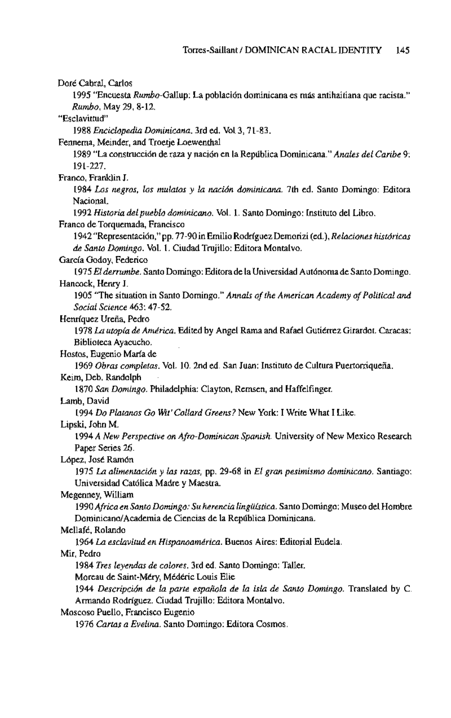Doré Cabral, Carlos 1995 "Encuesta Rumbo-Gallup: La población dominicana es más antihaitiana que racista." Rumbo, May 29, 8-12. "Esclavittud" 1988 Enciclopedia Dominicana. 3rd ed. Vol 3, 71-83. Fennema, Meinder, and Troetje Loewenthal 1989 "La construcción de raza y nación en la República Dominicana." Anales del Caribe 9: 191-227. Franco, Franklin J. 1984 Los negros, los mulatos y la nación dominicana. 7th ed. Santo Domingo: Editora Nacional. 1992 Historia del pueblo dominicano. Vol. 1. Santo Domingo: Instituto del Libro. Franco de Torquemada, Francisco 1942 "Representación," pp. 77-90 in Emilio Rodríguez Demorizi (ed.), Relaciones históricas de Santo Domingo. Vol. 1. Ciudad Trujillo: Editora Montalvo. García Godov, Federico 1975 El derrumbe. Santo Domingo: Editora de la Universidad Autónoma de Santo Domingo. Hancock, Henry J. 1905 "The situation in Santo Domingo." Annals of the American Academy of Political and Social Science 463: 47-52. Henríquez Ureña, Pedro 1978 La utopía de América, Edited by Angel Rama and Rafael Gutiérrez Girardot. Caracas; Biblioteca Ayacucho. Hostos, Eugenio María de 1969 Obras completas, Vol. 10. 2nd ed. San Juan; Instituto de Cultura Puertorriqueña. Keim, Deb. Randolph 1870 San Domingo. Philadelphia: Clayton, Remsen, and Haffelfinger. Lamb, David 1994 Do Platanos Go Wit' Collard Greens? New York: I Write What I Like. Linski, John M. 1994 A New Perspective on Afro-Dominican Spanish. University of New Mexico Research Paper Series 26. López, José Ramón 1975 La alimentación y las razas, pp. 29-68 in El gran pesimismo dominicano. Santiago: Universidad Católica Madre y Maestra. Megenney, William 1990 Africa en Santo Domingo: Su herencia lingüística. Santo Domingo: Museo del Hombre Dominicano/Academia de Ciencias de la República Dominicana. Mellafé, Rolando 1964 La esclavitud en Hispanoamérica. Buenos Aires: Editorial Eudela. Mir. Pedro 1984 Tres leyendas de colores. 3rd ed. Santo Domingo: Taller. Moreau de Saint-Méry, Médéric Louis Elie 1944 Descripción de la parte española de la isla de Santo Domingo. Translated by C. Armando Rodríguez. Ciudad Trujillo: Editora Montalvo. Moscoso Puello, Francisco Eugenio 1976 Cartas a Evelina. Santo Domingo: Editora Cosmos.